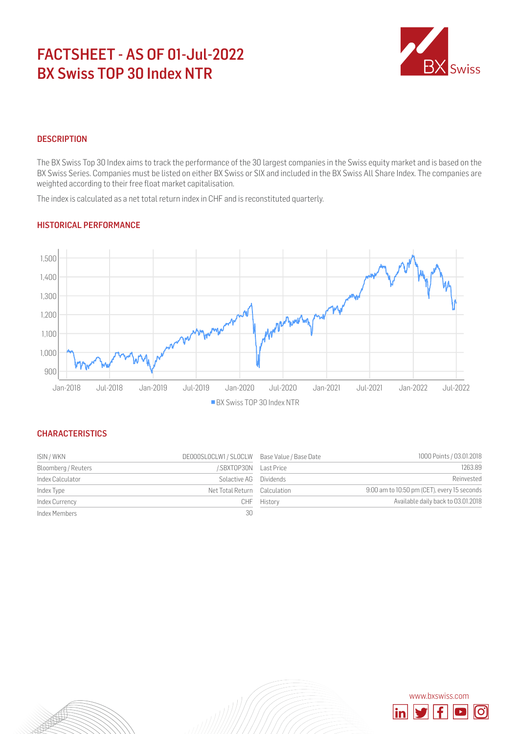# FACTSHEET - AS OF 01-Jul-2022 BX Swiss TOP 30 Index NTR



## **DESCRIPTION**

The BX Swiss Top 30 Index aims to track the performance of the 30 largest companies in the Swiss equity market and is based on the BX Swiss Series. Companies must be listed on either BX Swiss or SIX and included in the BX Swiss All Share Index. The companies are weighted according to their free float market capitalisation.

The index is calculated as a net total return index in CHF and is reconstituted quarterly.

## HISTORICAL PERFORMANCE



#### **CHARACTERISTICS**

| ISIN / WKN          | DE000SLOCLW1 / SLOCLW Base Value / Base Date |         | 1000 Points / 03.01.2018                    |
|---------------------|----------------------------------------------|---------|---------------------------------------------|
| Bloomberg / Reuters | /.SBXTOP30N Last Price                       |         | 1263.89                                     |
| Index Calculator    | Solactive AG  Dividends                      |         | Reinvested                                  |
| Index Type          | Net Total Return Calculation                 |         | 9:00 am to 10:50 pm (CET), every 15 seconds |
| Index Currency      | CHF                                          | History | Available daily back to 03.01.2018          |
| Index Members       | 30                                           |         |                                             |

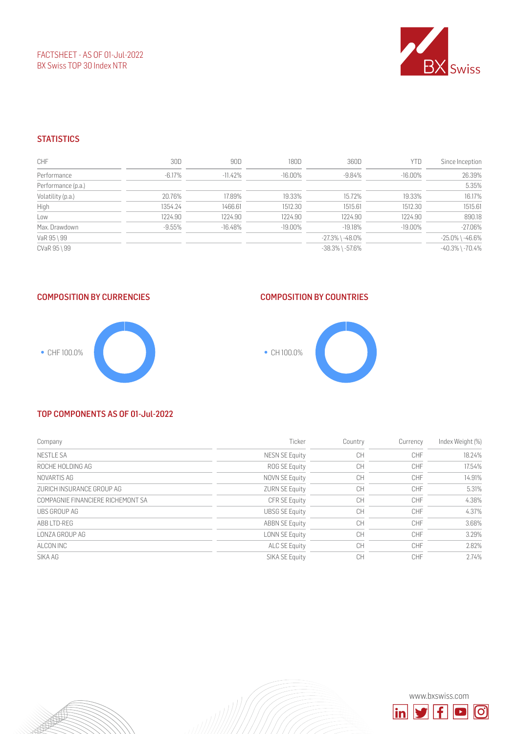FACTSHEET - AS OF 01-Jul-2022 BX Swiss TOP 30 Index NTR



## **STATISTICS**

| <b>CHF</b>         | 30D       | 90D        | 180D       | 360D                  | <b>YTD</b> | Since Inception       |
|--------------------|-----------|------------|------------|-----------------------|------------|-----------------------|
| Performance        | $-6.17\%$ | $-11.42\%$ | -16.00%    | $-9.84\%$             | $-16.00\%$ | 26.39%                |
| Performance (p.a.) |           |            |            |                       |            | 5.35%                 |
| Volatility (p.a.)  | 20.76%    | 17.89%     | 19.33%     | 15.72%                | 19.33%     | 16.17%                |
| High               | 1354.24   | 1466.61    | 1512.30    | 1515.61               | 1512.30    | 1515.61               |
| Low                | 1224.90   | 1224.90    | 1224.90    | 1224.90               | 1224.90    | 890.18                |
| Max. Drawdown      | $-9.55%$  | $-16.48\%$ | $-19.00\%$ | $-19.18%$             | $-19.00\%$ | $-27.06%$             |
| VaR 95 \ 99        |           |            |            | $-27.3\%$ \ $-48.0\%$ |            | $-25.0\%$ \ $-46.6\%$ |
| CVaR 95 \ 99       |           |            |            | $-38.3\%$ \ $-57.6\%$ |            | $-40.3\%$ \ $-70.4\%$ |

COMPOSITION BY CURRENCIES







#### TOP COMPONENTS AS OF 01-Jul-2022

| Company                           | Ticker                | Country   | Currency   | Index Weight (%) |
|-----------------------------------|-----------------------|-----------|------------|------------------|
| <b>NESTLE SA</b>                  | NESN SE Equity        | <b>CH</b> | <b>CHF</b> | 18.24%           |
| ROCHE HOLDING AG                  | ROG SE Equity         | CН        | <b>CHF</b> | 17.54%           |
| NOVARTIS AG                       | NOVN SE Equity        | CН        | <b>CHF</b> | 14.91%           |
| ZURICH INSURANCE GROUP AG         | <b>ZURN SE Equity</b> | CН        | <b>CHF</b> | 5.31%            |
| COMPAGNIE FINANCIERE RICHEMONT SA | CFR SE Equity         | <b>CH</b> | <b>CHF</b> | 4.38%            |
| UBS GROUP AG                      | <b>UBSG SE Equity</b> | <b>CH</b> | <b>CHF</b> | 4.37%            |
| ABB LTD-REG                       | <b>ABBN SE Equity</b> | <b>CH</b> | CHF        | 3.68%            |
| LONZA GROUP AG                    | LONN SE Equity        | <b>CH</b> | <b>CHF</b> | 3.29%            |
| ALCON INC                         | ALC SE Equity         | CН        | <b>CHF</b> | 2.82%            |
| SIKA AG                           | SIKA SE Equity        | СH        | <b>CHF</b> | 2.74%            |